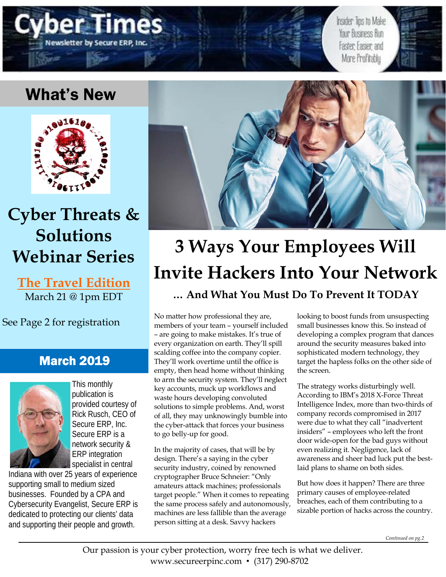

Insider Tips to Make Your Business Run Faster: Easier: and More Profitably

## What's New



## **Cyber Threats & Solutions Webinar Series**

**The Travel Edition**  March 21 @ 1pm EDT

See Page 2 for registration

## March 2019



This monthly publication is provided courtesy of Rick Rusch, CEO of Secure ERP, Inc. Secure ERP is a network security & ERP integration specialist in central

Indiana with over 25 years of experience supporting small to medium sized businesses. Founded by a CPA and Cybersecurity Evangelist, Secure ERP is dedicated to protecting our clients' data and supporting their people and growth.



# **3 Ways Your Employees Will Invite Hackers Into Your Network … And What You Must Do To Prevent It TODAY**

No matter how professional they are, members of your team – yourself included – are going to make mistakes. It's true of every organization on earth. They'll spill scalding coffee into the company copier. They'll work overtime until the office is empty, then head home without thinking to arm the security system. They'll neglect key accounts, muck up workflows and waste hours developing convoluted solutions to simple problems. And, worst of all, they may unknowingly bumble into the cyber-attack that forces your business to go belly-up for good.

In the majority of cases, that will be by design. There's a saying in the cyber security industry, coined by renowned cryptographer Bruce Schneier: "Only amateurs attack machines; professionals target people." When it comes to repeating the same process safely and autonomously, machines are less fallible than the average person sitting at a desk. Savvy hackers

looking to boost funds from unsuspecting small businesses know this. So instead of developing a complex program that dances around the security measures baked into sophisticated modern technology, they target the hapless folks on the other side of the screen.

The strategy works disturbingly well. According to IBM's 2018 X-Force Threat Intelligence Index, more than two-thirds of company records compromised in 2017 were due to what they call "inadvertent insiders" – employees who left the front door wide-open for the bad guys without even realizing it. Negligence, lack of awareness and sheer bad luck put the bestlaid plans to shame on both sides.

But how does it happen? There are three primary causes of employee-related breaches, each of them contributing to a sizable portion of hacks across the country.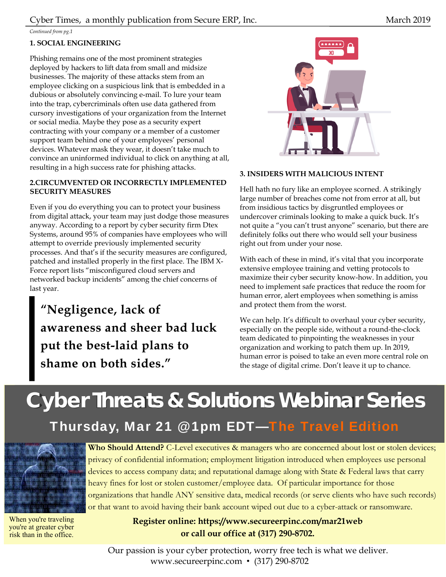*Continued from pg.1* 

### **1. SOCIAL ENGINEERING**

Phishing remains one of the most prominent strategies deployed by hackers to lift data from small and midsize businesses. The majority of these attacks stem from an employee clicking on a suspicious link that is embedded in a dubious or absolutely convincing e-mail. To lure your team into the trap, cybercriminals often use data gathered from cursory investigations of your organization from the Internet or social media. Maybe they pose as a security expert contracting with your company or a member of a customer support team behind one of your employees' personal devices. Whatever mask they wear, it doesn't take much to convince an uninformed individual to click on anything at all, resulting in a high success rate for phishing attacks.

#### **2.CIRCUMVENTED OR INCORRECTLY IMPLEMENTED SECURITY MEASURES**

Even if you do everything you can to protect your business from digital attack, your team may just dodge those measures anyway. According to a report by cyber security firm Dtex Systems, around 95% of companies have employees who will attempt to override previously implemented security processes. And that's if the security measures are configured, patched and installed properly in the first place. The IBM X-Force report lists "misconfigured cloud servers and networked backup incidents" among the chief concerns of last year.

**"Negligence, lack of awareness and sheer bad luck put the best-laid plans to shame on both sides."** 



#### **3. INSIDERS WITH MALICIOUS INTENT**

Hell hath no fury like an employee scorned. A strikingly large number of breaches come not from error at all, but from insidious tactics by disgruntled employees or undercover criminals looking to make a quick buck. It's not quite a "you can't trust anyone" scenario, but there are definitely folks out there who would sell your business right out from under your nose.

With each of these in mind, it's vital that you incorporate extensive employee training and vetting protocols to maximize their cyber security know-how. In addition, you need to implement safe practices that reduce the room for human error, alert employees when something is amiss and protect them from the worst.

We can help. It's difficult to overhaul your cyber security, especially on the people side, without a round-the-clock team dedicated to pinpointing the weaknesses in your organization and working to patch them up. In 2019, human error is poised to take an even more central role on the stage of digital crime. Don't leave it up to chance.

## **Free Cyber Security Audit Will Reveal Where Your Computer Network Is Exposed And How To Protect Your Company Now Cyber Threats & Solutions Webinar Series**

Thursday, Mar 21 @ 1pm EDT—The Travel Edition



When you're traveling you're at greater cyber risk than in the office.

**Who Should Attend?** C-Level executives & managers who are concerned about lost or stolen devices; privacy of confidential information; employment litigation introduced when employees use personal devices to access company data; and reputational damage along with State & Federal laws that carry heavy fines for lost or stolen customer/employee data. Of particular importance for those organizations that handle ANY sensitive data, medical records (or serve clients who have such records) or that want to avoid having their bank account wiped out due to a cyber-attack or ransomware.

> **Register online: https://www.secureerpinc.com/mar21web or call our office at (317) 290-8702.**

Our passion is your cyber protection, worry free tech is what we deliver. www.secureerpinc.com • (317) 290-8702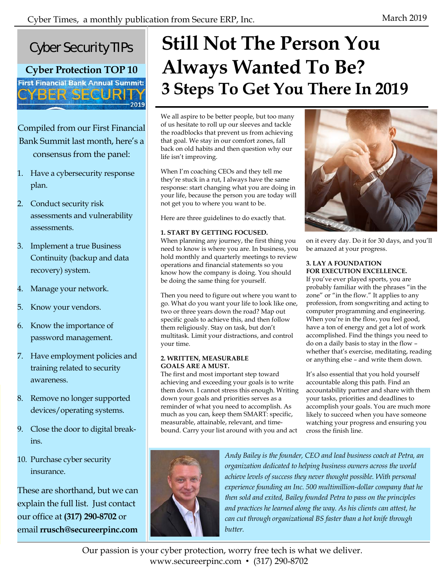2019



**Cyber Protection TOP 10 First Financial Bank Annual Summit:** 

**BER SECURITY** 

## Compiled from our First Financial Bank Summit last month, here's a consensus from the panel:

- 1. Have a cybersecurity response plan.
- 2. Conduct security risk assessments and vulnerability assessments.
- 3. Implement a true Business Continuity (backup and data recovery) system.
- 4. Manage your network.
- 5. Know your vendors.
- 6. Know the importance of password management.
- 7. Have employment policies and training related to security awareness.
- 8. Remove no longer supported devices/operating systems.
- 9. Close the door to digital breakins.
- 10. Purchase cyber security insurance.

These are shorthand, but we can explain the full list. Just contact our office at **(317) 290-8702** or email **rrusch@secureerpinc.com**

# **Still Not The Person You Always Wanted To Be? 3 Steps To Get You There In 2019**

We all aspire to be better people, but too many of us hesitate to roll up our sleeves and tackle the roadblocks that prevent us from achieving that goal. We stay in our comfort zones, fall back on old habits and then question why our life isn't improving.

When I'm coaching CEOs and they tell me they're stuck in a rut, I always have the same response: start changing what you are doing in your life, because the person you are today will not get you to where you want to be.

Here are three guidelines to do exactly that.

#### **1. START BY GETTING FOCUSED.**

When planning any journey, the first thing you need to know is where you are. In business, you hold monthly and quarterly meetings to review operations and financial statements so you know how the company is doing. You should be doing the same thing for yourself.

Then you need to figure out where you want to go. What do you want your life to look like one, two or three years down the road? Map out specific goals to achieve this, and then follow them religiously. Stay on task, but don't multitask. Limit your distractions, and control your time.

#### **2. WRITTEN, MEASURABLE GOALS ARE A MUST.**

The first and most important step toward achieving and exceeding your goals is to write them down. I cannot stress this enough. Writing down your goals and priorities serves as a reminder of what you need to accomplish. As much as you can, keep them SMART: specific, measurable, attainable, relevant, and timebound. Carry your list around with you and act



on it every day. Do it for 30 days, and you'll be amazed at your progress.

#### **3. LAY A FOUNDATION FOR EXECUTION EXCELLENCE.**

If you've ever played sports, you are probably familiar with the phrases "in the zone" or "in the flow." It applies to any profession, from songwriting and acting to computer programming and engineering. When you're in the flow, you feel good, have a ton of energy and get a lot of work accomplished. Find the things you need to do on a daily basis to stay in the flow – whether that's exercise, meditating, reading or anything else – and write them down.

It's also essential that you hold yourself accountable along this path. Find an accountability partner and share with them your tasks, priorities and deadlines to accomplish your goals. You are much more likely to succeed when you have someone watching your progress and ensuring you cross the finish line.



*Andy Bailey is the founder, CEO and lead business coach at Petra, an organization dedicated to helping business owners across the world achieve levels of success they never thought possible. With personal experience founding an Inc. 500 multimillion-dollar company that he then sold and exited, Bailey founded Petra to pass on the principles and practices he learned along the way. As his clients can attest, he can cut through organizational BS faster than a hot knife through butter.* 

Our passion is your cyber protection, worry free tech is what we deliver. www.secureerpinc.com • (317) 290-8702